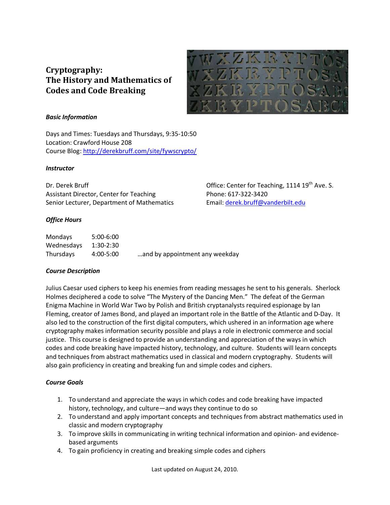# **Cryptography: The History and Mathematics of Codes and Code Breaking**



Office: Center for Teaching, 1114  $19<sup>th</sup>$  Ave. S.

Email: derek.bruff@vanderbilt.edu

Phone: 617-322-3420

## *Basic Information*

Days and Times: Tuesdays and Thursdays, 9:35-10:50 Location: Crawford House 208 Course Blog: http://derekbruff.com/site/fywscrypto/

#### *Instructor*

Dr. Derek Bruff Assistant Director, Center for Teaching Senior Lecturer, Department of Mathematics

## *Office Hours*

| <b>Mondays</b> | $5:00-6:00$ |                                |
|----------------|-------------|--------------------------------|
| Wednesdays     | $1:30-2:30$ |                                |
| Thursdays      | 4:00-5:00   | and by appointment any weekday |

## *Course Description*

Julius Caesar used ciphers to keep his enemies from reading messages he sent to his generals. Sherlock Holmes deciphered a code to solve "The Mystery of the Dancing Men." The defeat of the German Enigma Machine in World War Two by Polish and British cryptanalysts required espionage by Ian Fleming, creator of James Bond, and played an important role in the Battle of the Atlantic and D-Day. It also led to the construction of the first digital computers, which ushered in an information age where cryptography makes information security possible and plays a role in electronic commerce and social justice. This course is designed to provide an understanding and appreciation of the ways in which codes and code breaking have impacted history, technology, and culture. Students will learn concepts and techniques from abstract mathematics used in classical and modern cryptography. Students will also gain proficiency in creating and breaking fun and simple codes and ciphers.

## *Course Goals*

- 1. To understand and appreciate the ways in which codes and code breaking have impacted history, technology, and culture—and ways they continue to do so
- 2. To understand and apply important concepts and techniques from abstract mathematics used in classic and modern cryptography
- 3. To improve skills in communicating in writing technical information and opinion- and evidencebased arguments
- 4. To gain proficiency in creating and breaking simple codes and ciphers

Last updated on August 24, 2010.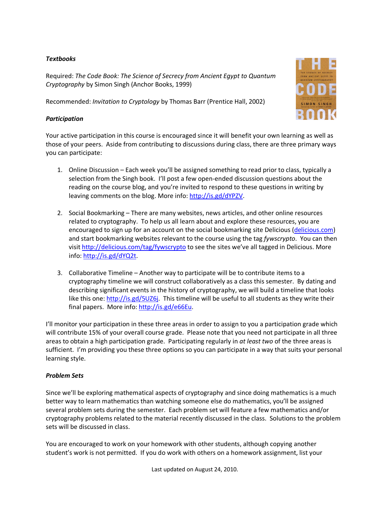## *Textbooks*

Required: *The Code Book: The Science of Secrecy from Ancient Egypt to Quantum Cryptography* by Simon Singh (Anchor Books, 1999)

Recommended: *Invitation to Cryptology* by Thomas Barr (Prentice Hall, 2002)

## *Participation*



- 1. Online Discussion Each week you'll be assigned something to read prior to class, typically a selection from the Singh book. I'll post a few open-ended discussion questions about the reading on the course blog, and you're invited to respond to these questions in writing by leaving comments on the blog. More info: http://is.gd/dYPZV.
- 2. Social Bookmarking There are many websites, news articles, and other online resources related to cryptography. To help us all learn about and explore these resources, you are encouraged to sign up for an account on the social bookmarking site Delicious (delicious.com) and start bookmarking websites relevant to the course using the tag *fywscrypto*. You can then visit http://delicious.com/tag/fywscrypto to see the sites we've all tagged in Delicious. More info: http://is.gd/dYQ2t.
- 3. Collaborative Timeline Another way to participate will be to contribute items to a cryptography timeline we will construct collaboratively as a class this semester. By dating and describing significant events in the history of cryptography, we will build a timeline that looks like this one: http://is.gd/5UZ6j. This timeline will be useful to all students as they write their final papers. More info: http://is.gd/e66Eu.

I'll monitor your participation in these three areas in order to assign to you a participation grade which will contribute 15% of your overall course grade. Please note that you need not participate in all three areas to obtain a high participation grade. Participating regularly in *at least two* of the three areas is sufficient. I'm providing you these three options so you can participate in a way that suits your personal learning style.

## *Problem Sets*

Since we'll be exploring mathematical aspects of cryptography and since doing mathematics is a much better way to learn mathematics than watching someone else do mathematics, you'll be assigned several problem sets during the semester. Each problem set will feature a few mathematics and/or cryptography problems related to the material recently discussed in the class. Solutions to the problem sets will be discussed in class.

You are encouraged to work on your homework with other students, although copying another student's work is not permitted. If you do work with others on a homework assignment, list your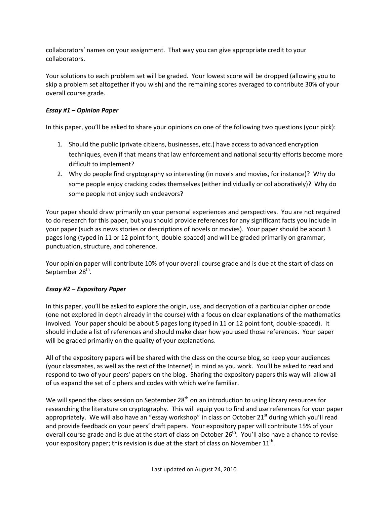collaborators' names on your assignment. That way you can give appropriate credit to your collaborators.

Your solutions to each problem set will be graded. Your lowest score will be dropped (allowing you to skip a problem set altogether if you wish) and the remaining scores averaged to contribute 30% of your overall course grade.

## *Essay #1 – Opinion Paper*

In this paper, you'll be asked to share your opinions on one of the following two questions (your pick):

- 1. Should the public (private citizens, businesses, etc.) have access to advanced encryption techniques, even if that means that law enforcement and national security efforts become more difficult to implement?
- 2. Why do people find cryptography so interesting (in novels and movies, for instance)? Why do some people enjoy cracking codes themselves (either individually or collaboratively)? Why do some people not enjoy such endeavors?

Your paper should draw primarily on your personal experiences and perspectives. You are not required to do research for this paper, but you should provide references for any significant facts you include in your paper (such as news stories or descriptions of novels or movies). Your paper should be about 3 pages long (typed in 11 or 12 point font, double-spaced) and will be graded primarily on grammar, punctuation, structure, and coherence.

Your opinion paper will contribute 10% of your overall course grade and is due at the start of class on September 28<sup>th</sup>.

# *Essay #2 – Expository Paper*

In this paper, you'll be asked to explore the origin, use, and decryption of a particular cipher or code (one not explored in depth already in the course) with a focus on clear explanations of the mathematics involved. Your paper should be about 5 pages long (typed in 11 or 12 point font, double-spaced). It should include a list of references and should make clear how you used those references. Your paper will be graded primarily on the quality of your explanations.

All of the expository papers will be shared with the class on the course blog, so keep your audiences (your classmates, as well as the rest of the Internet) in mind as you work. You'll be asked to read and respond to two of your peers' papers on the blog. Sharing the expository papers this way will allow all of us expand the set of ciphers and codes with which we're familiar.

We will spend the class session on September  $28<sup>th</sup>$  on an introduction to using library resources for researching the literature on cryptography. This will equip you to find and use references for your paper appropriately. We will also have an "essay workshop" in class on October 21<sup>st</sup> during which you'll read and provide feedback on your peers' draft papers. Your expository paper will contribute 15% of your overall course grade and is due at the start of class on October 26<sup>th</sup>. You'll also have a chance to revise your expository paper; this revision is due at the start of class on November  $11^{\text{th}}$ .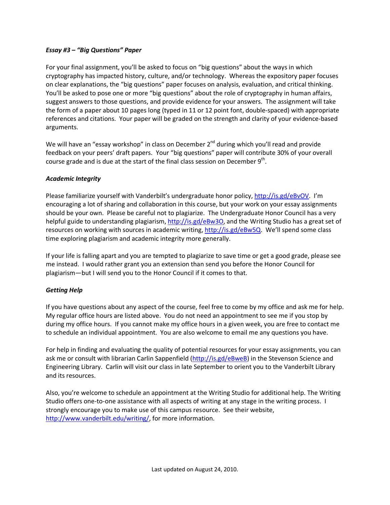## *Essay #3 – "Big Questions" Paper*

For your final assignment, you'll be asked to focus on "big questions" about the ways in which cryptography has impacted history, culture, and/or technology. Whereas the expository paper focuses on clear explanations, the "big questions" paper focuses on analysis, evaluation, and critical thinking. You'll be asked to pose one or more "big questions" about the role of cryptography in human affairs, suggest answers to those questions, and provide evidence for your answers. The assignment will take the form of a paper about 10 pages long (typed in 11 or 12 point font, double-spaced) with appropriate references and citations. Your paper will be graded on the strength and clarity of your evidence-based arguments.

We will have an "essay workshop" in class on December 2<sup>nd</sup> during which you'll read and provide feedback on your peers' draft papers. Your "big questions" paper will contribute 30% of your overall course grade and is due at the start of the final class session on December  $9^{\text{th}}$ .

## *Academic Integrity*

Please familiarize yourself with Vanderbilt's undergraduate honor policy, http://is.gd/eBvOV. I'm encouraging a lot of sharing and collaboration in this course, but your work on your essay assignments should be your own. Please be careful not to plagiarize. The Undergraduate Honor Council has a very helpful guide to understanding plagiarism, http://is.gd/eBw3O, and the Writing Studio has a great set of resources on working with sources in academic writing, http://is.gd/eBw5Q. We'll spend some class time exploring plagiarism and academic integrity more generally.

If your life is falling apart and you are tempted to plagiarize to save time or get a good grade, please see me instead. I would rather grant you an extension than send you before the Honor Council for plagiarism—but I will send you to the Honor Council if it comes to that.

## *Getting Help*

If you have questions about any aspect of the course, feel free to come by my office and ask me for help. My regular office hours are listed above. You do not need an appointment to see me if you stop by during my office hours. If you cannot make my office hours in a given week, you are free to contact me to schedule an individual appointment. You are also welcome to email me any questions you have.

For help in finding and evaluating the quality of potential resources for your essay assignments, you can ask me or consult with librarian Carlin Sappenfield (http://is.gd/eBweB) in the Stevenson Science and Engineering Library. Carlin will visit our class in late September to orient you to the Vanderbilt Library and its resources.

Also, you're welcome to schedule an appointment at the Writing Studio for additional help. The Writing Studio offers one-to-one assistance with all aspects of writing at any stage in the writing process. I strongly encourage you to make use of this campus resource. See their website, http://www.vanderbilt.edu/writing/, for more information.